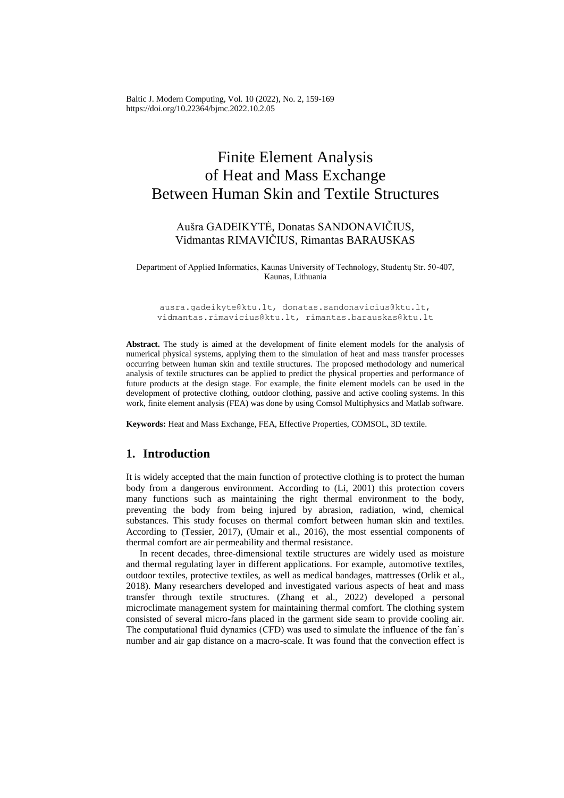Baltic J. Modern Computing, Vol. 10 (2022), No. 2, 159-169 <https://doi.org/10.22364/bjmc.2022.10.2.05>

# Finite Element Analysis of Heat and Mass Exchange Between Human Skin and Textile Structures

## Aušra GADEIKYTĖ, Donatas SANDONAVIČIUS, Vidmantas RIMAVIČIUS, Rimantas BARAUSKAS

Department of Applied Informatics, Kaunas University of Technology, Studentų Str. 50-407, Kaunas, Lithuania

[ausra.gadeikyte@ktu.lt,](mailto:ausra.gadeikyte@ktu.lt) [donatas.sandonavicius@ktu.lt,](mailto:donatas.sandonavicius@ktu.lt) [vidmantas.rimavicius@ktu.lt,](mailto:vidmantas.rimavicius@ktu.lt) [rimantas.barauskas@ktu.lt](mailto:rimantas.barauskas@ktu.lt)

**Abstract.** The study is aimed at the development of finite element models for the analysis of numerical physical systems, applying them to the simulation of heat and mass transfer processes occurring between human skin and textile structures. The proposed methodology and numerical analysis of textile structures can be applied to predict the physical properties and performance of future products at the design stage. For example, the finite element models can be used in the development of protective clothing, outdoor clothing, passive and active cooling systems. In this work, finite element analysis (FEA) was done by using Comsol Multiphysics and Matlab software.

**Keywords:** Heat and Mass Exchange, FEA, Effective Properties, COMSOL, 3D textile.

## **1. Introduction**

It is widely accepted that the main function of protective clothing is to protect the human body from a dangerous environment. According to (Li, 2001) this protection covers many functions such as maintaining the right thermal environment to the body, preventing the body from being injured by abrasion, radiation, wind, chemical substances. This study focuses on thermal comfort between human skin and textiles. According to (Tessier, 2017), (Umair et al., 2016), the most essential components of thermal comfort are air permeability and thermal resistance.

In recent decades, three-dimensional textile structures are widely used as moisture and thermal regulating layer in different applications. For example, automotive textiles, outdoor textiles, protective textiles, as well as medical bandages, mattresses (Orlik et al., 2018). Many researchers developed and investigated various aspects of heat and mass transfer through textile structures. (Zhang et al., 2022) developed a personal microclimate management system for maintaining thermal comfort. The clothing system consisted of several micro-fans placed in the garment side seam to provide cooling air. The computational fluid dynamics (CFD) was used to simulate the influence of the fan's number and air gap distance on a macro-scale. It was found that the convection effect is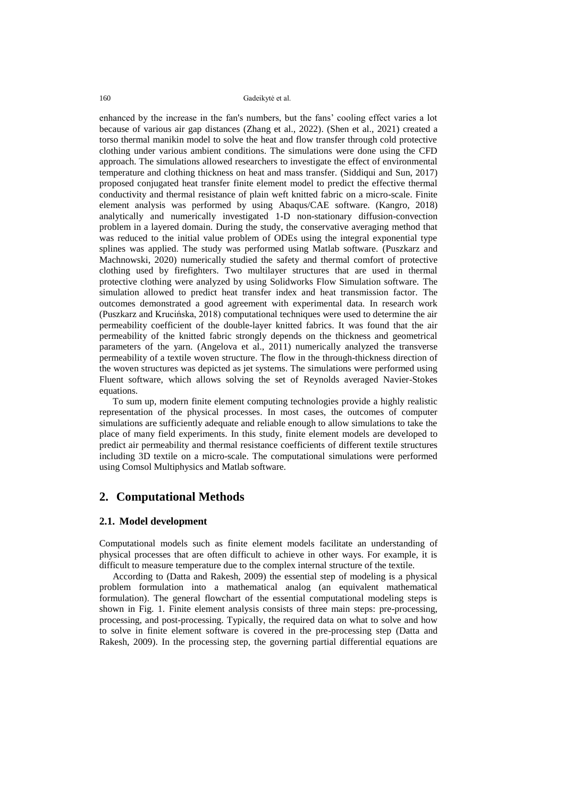enhanced by the increase in the fan's numbers, but the fans' cooling effect varies a lot because of various air gap distances (Zhang et al., 2022). (Shen et al., 2021) created a torso thermal manikin model to solve the heat and flow transfer through cold protective clothing under various ambient conditions. The simulations were done using the CFD approach. The simulations allowed researchers to investigate the effect of environmental temperature and clothing thickness on heat and mass transfer. (Siddiqui and Sun, 2017) proposed conjugated heat transfer finite element model to predict the effective thermal conductivity and thermal resistance of plain weft knitted fabric on a micro-scale. Finite element analysis was performed by using Abaqus/CAE software. (Kangro, 2018) analytically and numerically investigated 1-D non-stationary diffusion-convection problem in a layered domain. During the study, the conservative averaging method that was reduced to the initial value problem of ODEs using the integral exponential type splines was applied. The study was performed using Matlab software. (Puszkarz and Machnowski, 2020) numerically studied the safety and thermal comfort of protective clothing used by firefighters. Two multilayer structures that are used in thermal protective clothing were analyzed by using Solidworks Flow Simulation software. The simulation allowed to predict heat transfer index and heat transmission factor. The outcomes demonstrated a good agreement with experimental data. In research work (Puszkarz and Krucińska, 2018) computational techniques were used to determine the air permeability coefficient of the double-layer knitted fabrics. It was found that the air permeability of the knitted fabric strongly depends on the thickness and geometrical parameters of the yarn. (Angelova et al., 2011) numerically analyzed the transverse permeability of a textile woven structure. The flow in the through-thickness direction of the woven structures was depicted as jet systems. The simulations were performed using Fluent software, which allows solving the set of Reynolds averaged Navier-Stokes equations.

To sum up, modern finite element computing technologies provide a highly realistic representation of the physical processes. In most cases, the outcomes of computer simulations are sufficiently adequate and reliable enough to allow simulations to take the place of many field experiments. In this study, finite element models are developed to predict air permeability and thermal resistance coefficients of different textile structures including 3D textile on a micro-scale. The computational simulations were performed using Comsol Multiphysics and Matlab software.

## **2. Computational Methods**

#### **2.1. Model development**

Computational models such as finite element models facilitate an understanding of physical processes that are often difficult to achieve in other ways. For example, it is difficult to measure temperature due to the complex internal structure of the textile.

According to (Datta and Rakesh, 2009) the essential step of modeling is a physical problem formulation into a mathematical analog (an equivalent mathematical formulation). The general flowchart of the essential computational modeling steps is shown in Fig. 1. Finite element analysis consists of three main steps: pre-processing, processing, and post-processing. Typically, the required data on what to solve and how to solve in finite element software is covered in the pre-processing step (Datta and Rakesh, 2009). In the processing step, the governing partial differential equations are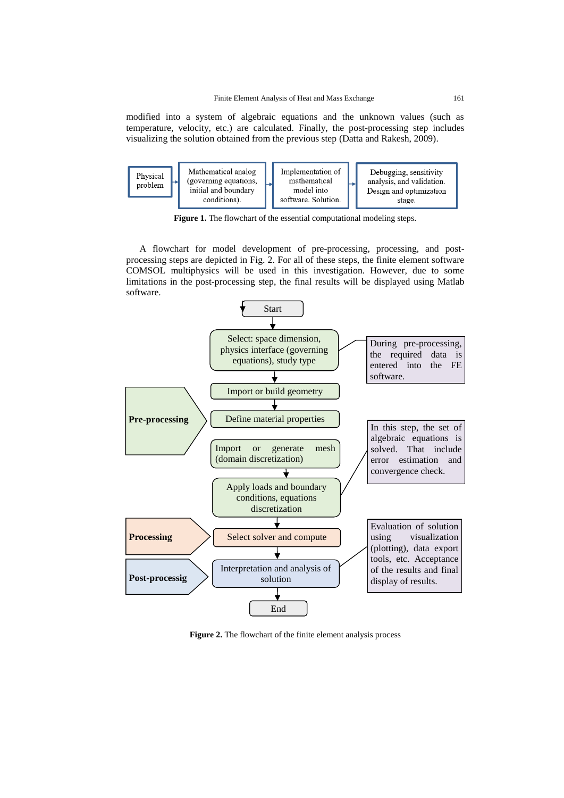modified into a system of algebraic equations and the unknown values (such as temperature, velocity, etc.) are calculated. Finally, the post-processing step includes visualizing the solution obtained from the previous step (Datta and Rakesh, 2009).



Figure 1. The flowchart of the essential computational modeling steps.

A flowchart for model development of pre-processing, processing, and postprocessing steps are depicted in Fig. 2. For all of these steps, the finite element software COMSOL multiphysics will be used in this investigation. However, due to some limitations in the post-processing step, the final results will be displayed using Matlab software.



**Figure 2.** The flowchart of the finite element analysis process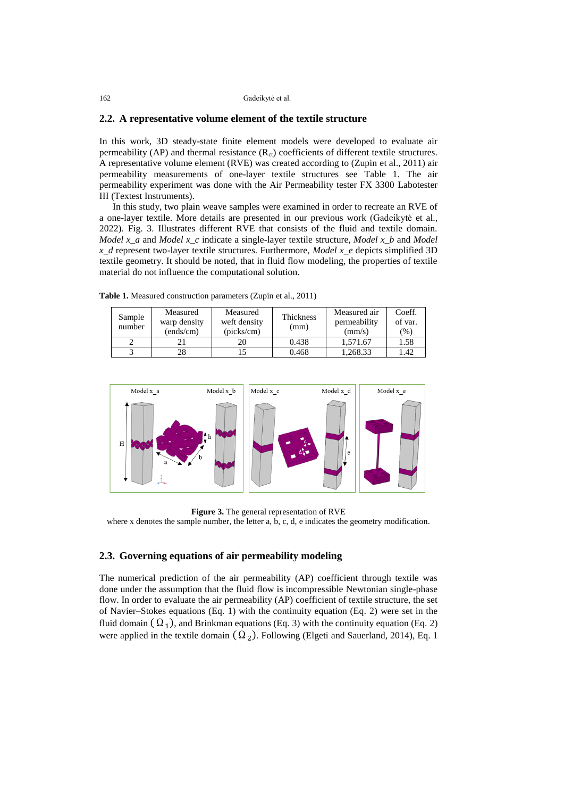#### **2.2. A representative volume element of the textile structure**

In this work, 3D steady-state finite element models were developed to evaluate air permeability (AP) and thermal resistance  $(R<sub>ct</sub>)$  coefficients of different textile structures. A representative volume element (RVE) was created according to (Zupin et al., 2011) air permeability measurements of one-layer textile structures see Table 1. The air permeability experiment was done with the Air Permeability tester FX 3300 Labotester III (Textest Instruments).

In this study, two plain weave samples were examined in order to recreate an RVE of a one-layer textile. More details are presented in our previous work (Gadeikytė et al., 2022). Fig. 3. Illustrates different RVE that consists of the fluid and textile domain. *Model x\_a* and *Model x\_c* indicate a single-layer textile structure, *Model x\_b* and *Model x\_d* represent two-layer textile structures. Furthermore, *Model x\_e* depicts simplified 3D textile geometry. It should be noted, that in fluid flow modeling, the properties of textile material do not influence the computational solution.

**Table 1.** Measured construction parameters (Zupin et al., 2011)

 $\overline{\mathbf{v}}$ 

| Sample<br>number | Measured<br>warp density<br>(ends/cm) | Measured<br>weft density<br>(picks/cm) | Thickness<br>(mm) | Measured air<br>permeability<br>(mm/s) | Coeff.<br>of var.<br>$(\%)$ |
|------------------|---------------------------------------|----------------------------------------|-------------------|----------------------------------------|-----------------------------|
|                  |                                       | 20                                     | 0.438             | 1.571.67                               | 1.58                        |
|                  | 28                                    |                                        | 0.468             | 1.268.33                               | 1.42                        |
|                  |                                       |                                        |                   |                                        |                             |

 $\overline{\mathbf{v}}$ 



**Figure 3.** The general representation of RVE

where x denotes the sample number, the letter a, b, c, d, e indicates the geometry modification.

### **2.3. Governing equations of air permeability modeling**

The numerical prediction of the air permeability (AP) coefficient through textile was done under the assumption that the fluid flow is incompressible Newtonian single-phase flow. In order to evaluate the air permeability (AP) coefficient of textile structure, the set of Navier–Stokes equations (Eq. 1) with the continuity equation (Eq. 2) were set in the fluid domain  $(\Omega_1)$ , and Brinkman equations (Eq. 3) with the continuity equation (Eq. 2) were applied in the textile domain  $(\Omega_2)$ . Following (Elgeti and Sauerland, 2014), Eq. 1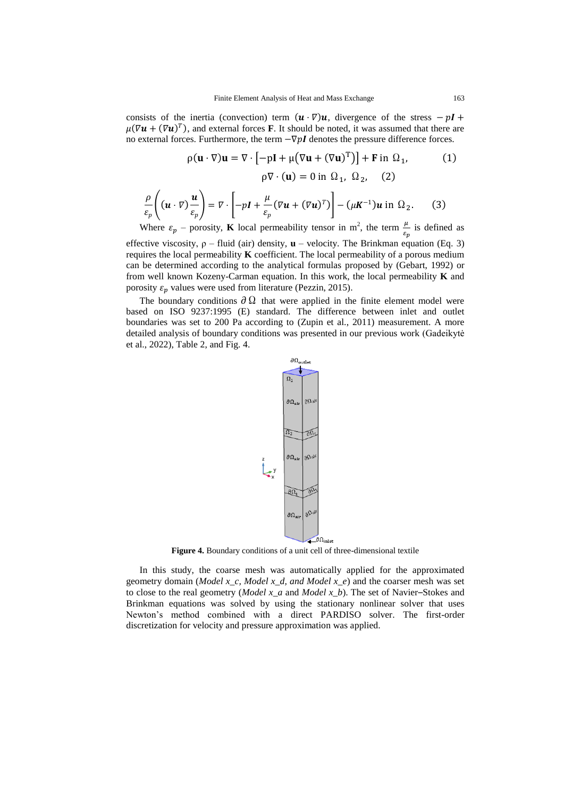consists of the inertia (convection) term  $(u \cdot \nabla)u$ , divergence of the stress  $-pI +$  $\mu(\nabla \mathbf{u} + (\nabla \mathbf{u})^T)$ , and external forces **F**. It should be noted, it was assumed that there are no external forces. Furthermore, the term  $−∇pI$  denotes the pressure difference forces.

$$
\rho(\mathbf{u} \cdot \nabla)\mathbf{u} = \nabla \cdot \left[ -p\mathbf{I} + \mu (\nabla \mathbf{u} + (\nabla \mathbf{u})^{\mathrm{T}}) \right] + \mathbf{F} \text{ in } \Omega_1,
$$
\n
$$
\rho \nabla \cdot (\mathbf{u}) = 0 \text{ in } \Omega_1, \Omega_2, \quad (2)
$$
\n
$$
\frac{\rho}{\varepsilon_p} \left( (\mathbf{u} \cdot \nabla) \frac{\mathbf{u}}{\varepsilon_p} \right) = \nabla \cdot \left[ -p\mathbf{I} + \frac{\mu}{\varepsilon_p} (\nabla \mathbf{u} + (\nabla \mathbf{u})^{\mathrm{T}}) \right] - (\mu \mathbf{K}^{-1}) \mathbf{u} \text{ in } \Omega_2.
$$
\n(3)

Where  $\varepsilon_p$  – porosity, **K** local permeability tensor in m<sup>2</sup>, the term  $\frac{\mu}{\varepsilon_p}$  is defined as

effective viscosity, ρ – fluid (air) density, **u** – velocity. The Brinkman equation (Eq. 3) requires the local permeability **K** coefficient. The local permeability of a porous medium can be determined according to the analytical formulas proposed by (Gebart, 1992) or from well known Kozeny-Carman equation. In this work, the local permeability **K** and porosity  $\varepsilon_p$  values were used from literature (Pezzin, 2015).

The boundary conditions  $\partial \Omega$  that were applied in the finite element model were based on ISO 9237:1995 (E) standard. The difference between inlet and outlet boundaries was set to 200 Pa according to (Zupin et al., 2011) measurement. A more detailed analysis of boundary conditions was presented in our previous work (Gadeikytė et al., 2022), Table 2, and Fig. 4.



**Figure 4.** Boundary conditions of a unit cell of three-dimensional textile

In this study, the coarse mesh was automatically applied for the approximated geometry domain (*Model x\_c, Model x\_d, and Model x\_e*) and the coarser mesh was set to close to the real geometry (*Model x\_a* and *Model x\_b*). The set of Navier–Stokes and Brinkman equations was solved by using the stationary nonlinear solver that uses Newton's method combined with a direct PARDISO solver. The first-order discretization for velocity and pressure approximation was applied.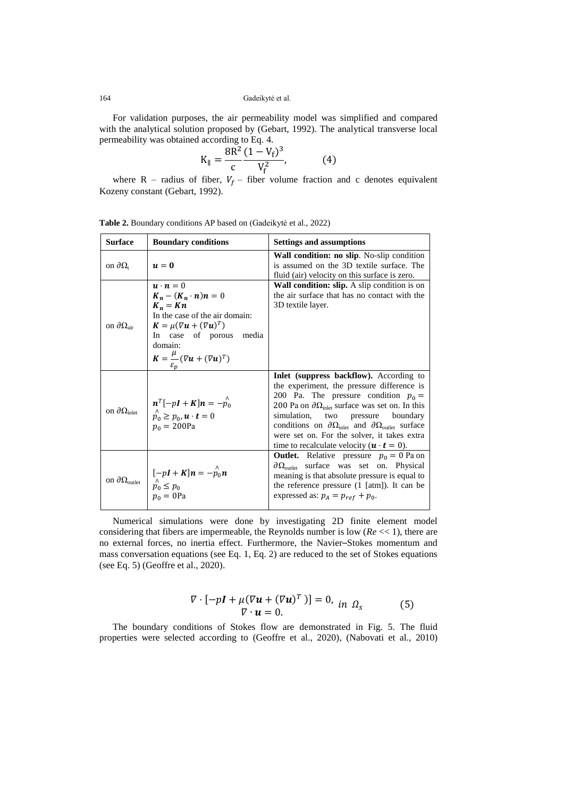For validation purposes, the air permeability model was simplified and compared with the analytical solution proposed by (Gebart, 1992). The analytical transverse local permeability was obtained according to Eq. 4.

$$
K_{\parallel} = \frac{8R^2}{c} \frac{(1 - V_f)^3}{V_f^2},
$$
 (4)

where R – radius of fiber,  $V_f$  – fiber volume fraction and c denotes equivalent Kozeny constant (Gebart, 1992).

|  | <b>Surface</b>                     | <b>Boundary conditions</b>                                                                                                                                                                                                                                                    | <b>Settings and assumptions</b>                                                                                                                                                                                                                                                                                                                                                                                                                                         |  |
|--|------------------------------------|-------------------------------------------------------------------------------------------------------------------------------------------------------------------------------------------------------------------------------------------------------------------------------|-------------------------------------------------------------------------------------------------------------------------------------------------------------------------------------------------------------------------------------------------------------------------------------------------------------------------------------------------------------------------------------------------------------------------------------------------------------------------|--|
|  | on $\partial\Omega_t$<br>$u=0$     |                                                                                                                                                                                                                                                                               | Wall condition: no slip. No-slip condition<br>is assumed on the 3D textile surface. The<br>fluid (air) velocity on this surface is zero.                                                                                                                                                                                                                                                                                                                                |  |
|  | on $\partial\Omega_{\text{air}}$   | $\mathbf{u} \cdot \mathbf{n} = 0$<br>$K_n - (K_n \cdot n)n = 0$<br>$K_n = Kn$<br>In the case of the air domain:<br>$\mathbf{K} = \mu (\nabla \mathbf{u} + (\nabla \mathbf{u})^T)$<br>In case of porous<br>media<br>domain:<br>$K = \frac{\mu}{\mu} (\nabla u + (\nabla u)^T)$ | Wall condition: slip. A slip condition is on<br>the air surface that has no contact with the<br>3D textile layer.                                                                                                                                                                                                                                                                                                                                                       |  |
|  | on $\partial\Omega_{\text{inlet}}$ | $\begin{cases} n^T[-pl + K]n = -\stackrel{\wedge}{p_0} \\ p_0 \ge p_0, \mathbf{u} \cdot \mathbf{t} = 0 \end{cases}$<br>$p_0 = 200Pa$                                                                                                                                          | <b>Inlet</b> (suppress backflow). According to<br>the experiment, the pressure difference is<br>200 Pa. The pressure condition $p_0 =$<br>200 Pa on $\partial\Omega_{\text{inlet}}$ surface was set on. In this<br>simulation, two pressure boundary<br>conditions on $\partial\Omega_{\text{inlet}}$ and $\partial\Omega_{\text{outlet}}$ surface<br>were set on. For the solver, it takes extra<br>time to recalculate velocity $(\mathbf{u} \cdot \mathbf{t} = 0)$ . |  |
|  | on $\partial\Omega_\text{outlet}$  | $\begin{cases} [-pI + K]n = -\hat{p}_0 n \\ \hat{p}_0 \le p_0 \\ p_0 = 0 \text{Pa} \end{cases}$                                                                                                                                                                               | <b>Outlet.</b> Relative pressure $p_0 = 0$ Pa on<br>$\partial \Omega_{\text{outlet}}$ surface was set on. Physical<br>meaning is that absolute pressure is equal to<br>the reference pressure $(1$ [atm]). It can be<br>expressed as: $p_A = p_{ref} + p_0$ .                                                                                                                                                                                                           |  |

**Table 2.** Boundary conditions AP based on (Gadeikytė et al., 2022)

Numerical simulations were done by investigating 2D finite element model considering that fibers are impermeable, the Reynolds number is low (*Re* << 1), there are no external forces, no inertia effect. Furthermore, the Navier–Stokes momentum and mass conversation equations (see Eq. 1, Eq. 2) are reduced to the set of Stokes equations (see Eq. 5) (Geoffre et al., 2020).

$$
\nabla \cdot [-p\mathbf{I} + \mu (\nabla \mathbf{u} + (\nabla \mathbf{u})^T)] = 0, \text{ in } \Omega_s \tag{5}
$$
  

$$
\nabla \cdot \mathbf{u} = 0.
$$

The boundary conditions of Stokes flow are demonstrated in Fig. 5. The fluid properties were selected according to (Geoffre et al., 2020), (Nabovati et al., 2010)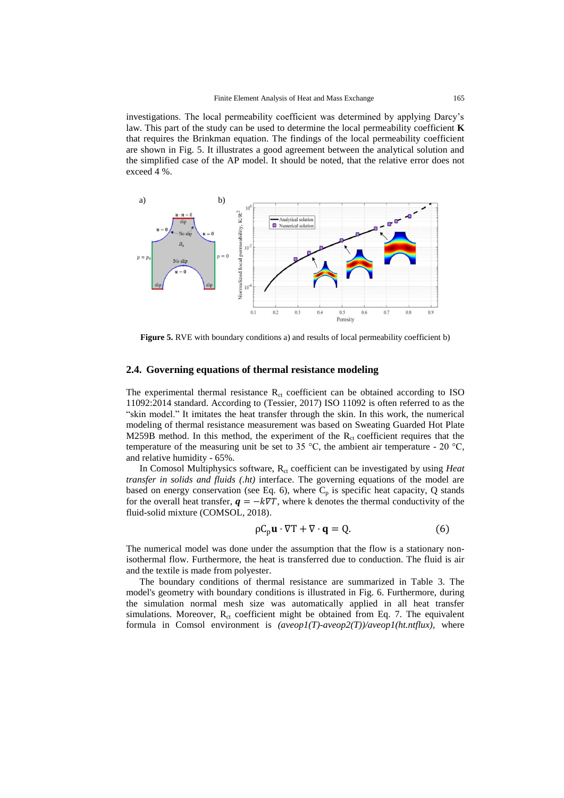investigations. The local permeability coefficient was determined by applying Darcy's law. This part of the study can be used to determine the local permeability coefficient **K** that requires the Brinkman equation. The findings of the local permeability coefficient are shown in Fig. 5. It illustrates a good agreement between the analytical solution and the simplified case of the AP model. It should be noted, that the relative error does not exceed 4 %.



**Figure 5.** RVE with boundary conditions a) and results of local permeability coefficient b)

### **2.4. Governing equations of thermal resistance modeling**

The experimental thermal resistance  $R<sub>ct</sub>$  coefficient can be obtained according to ISO 11092:2014 standard. According to (Tessier, 2017) ISO 11092 is often referred to as the "skin model." It imitates the heat transfer through the skin. In this work, the numerical modeling of thermal resistance measurement was based on Sweating Guarded Hot Plate M259B method. In this method, the experiment of the  $R<sub>ct</sub>$  coefficient requires that the temperature of the measuring unit be set to 35  $^{\circ}$ C, the ambient air temperature - 20  $^{\circ}$ C, and relative humidity - 65%.

In Comosol Multiphysics software, R<sub>ct</sub> coefficient can be investigated by using *Heat transfer in solids and fluids (.ht)* interface. The governing equations of the model are based on energy conservation (see Eq. 6), where  $C_p$  is specific heat capacity, Q stands for the overall heat transfer,  $q = -k\nabla T$ , where k denotes the thermal conductivity of the fluid-solid mixture (COMSOL, 2018).

$$
\rho C_p \mathbf{u} \cdot \nabla T + \nabla \cdot \mathbf{q} = Q. \tag{6}
$$

The numerical model was done under the assumption that the flow is a stationary nonisothermal flow. Furthermore, the heat is transferred due to conduction. The fluid is air and the textile is made from polyester.

The boundary conditions of thermal resistance are summarized in Table 3. The model's geometry with boundary conditions is illustrated in Fig. 6. Furthermore, during the simulation normal mesh size was automatically applied in all heat transfer simulations. Moreover,  $R<sub>ct</sub>$  coefficient might be obtained from Eq. 7. The equivalent formula in Comsol environment is *(aveop1(T)-aveop2(T))/aveop1(ht.ntflux),* where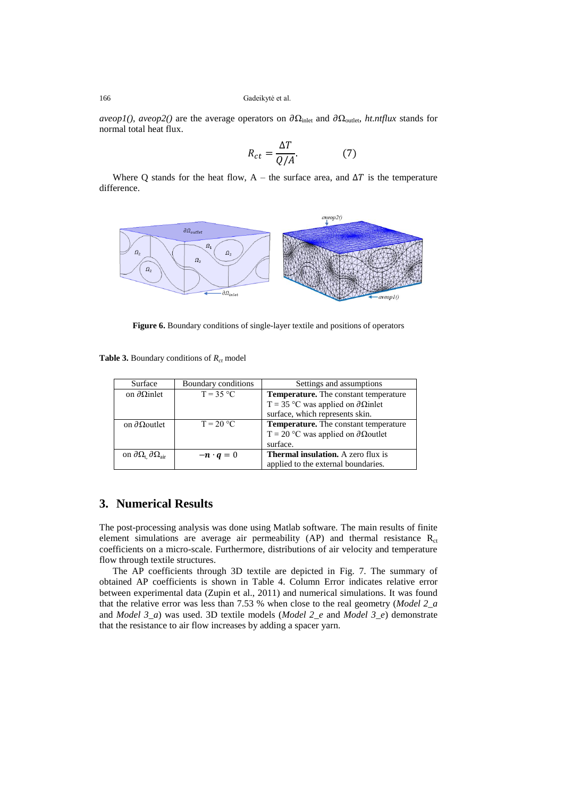*aveop1(), aveop2()* are the average operators on  $\partial\Omega_{\text{inlet}}$  and  $\partial\Omega_{\text{outlet}}$ , *ht.ntflux* stands for normal total heat flux.

$$
R_{ct} = \frac{\Delta T}{Q/A}.\tag{7}
$$

Where Q stands for the heat flow, A – the surface area, and  $\Delta T$  is the temperature difference.



**Figure 6.** Boundary conditions of single-layer textile and positions of operators

**Table 3.** Boundary conditions of  $R_{ct}$  model

| Surface                                             | Boundary conditions | Settings and assumptions                            |  |
|-----------------------------------------------------|---------------------|-----------------------------------------------------|--|
| on $\partial$ Ωinlet                                | $T = 35 °C$         | <b>Temperature.</b> The constant temperature        |  |
|                                                     |                     | T = 35 °C was applied on $\partial \Omega$ inlet    |  |
|                                                     |                     | surface, which represents skin.                     |  |
| on $\partial$ Ωoutlet                               | $T = 20 °C$         | <b>Temperature.</b> The constant temperature        |  |
|                                                     |                     | $T = 20$ °C was applied on $\partial \Omega$ outlet |  |
|                                                     |                     | surface.                                            |  |
| on $\partial\Omega_t$ $\partial\Omega_{\text{air}}$ | $-n \cdot q = 0$    | <b>Thermal insulation.</b> A zero flux is           |  |
|                                                     |                     | applied to the external boundaries.                 |  |

## **3. Numerical Results**

The post-processing analysis was done using Matlab software. The main results of finite element simulations are average air permeability (AP) and thermal resistance  $R_{ct}$ coefficients on a micro-scale. Furthermore, distributions of air velocity and temperature flow through textile structures.

The AP coefficients through 3D textile are depicted in Fig. 7. The summary of obtained AP coefficients is shown in Table 4. Column Error indicates relative error between experimental data (Zupin et al., 2011) and numerical simulations. It was found that the relative error was less than 7.53 % when close to the real geometry (*Model 2\_a* and *Model 3\_a*) was used. 3D textile models (*Model 2\_e* and *Model 3\_e*) demonstrate that the resistance to air flow increases by adding a spacer yarn.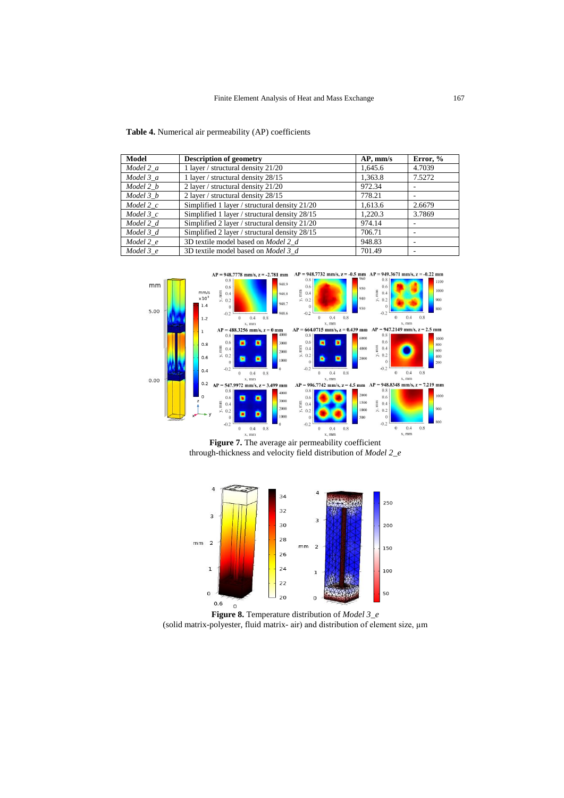| Model         | <b>Description of geometry</b>                | $AP,$ mm/s | Error, % |
|---------------|-----------------------------------------------|------------|----------|
| Model 2 a     | 1 layer / structural density 21/20            | 1,645.6    | 4.7039   |
| Model 3 a     | 1 layer / structural density 28/15            | 1.363.8    | 7.5272   |
| Model 2 b     | 2 layer / structural density 21/20            | 972.34     |          |
| Model 3 b     | 2 layer / structural density 28/15            | 778.21     |          |
| $Model\ 2\ c$ | Simplified 1 layer / structural density 21/20 | 1.613.6    | 2.6679   |
| Model $3c$    | Simplified 1 layer / structural density 28/15 | 1.220.3    | 3.7869   |
| Model 2 d     | Simplified 2 layer / structural density 21/20 | 974.14     |          |
| Model 3 d     | Simplified 2 layer / structural density 28/15 | 706.71     |          |
| Model 2 e     | 3D textile model based on Model 2 d           | 948.83     |          |
| Model $3$ e   | 3D textile model based on <i>Model 3 d</i>    | 701.49     |          |



**Figure 7.** The average air permeability coefficient through-thickness and velocity field distribution of *Model 2\_e*



**Figure 8.** Temperature distribution of *Model 3\_e* (solid matrix-polyester, fluid matrix- air) and distribution of element size, µm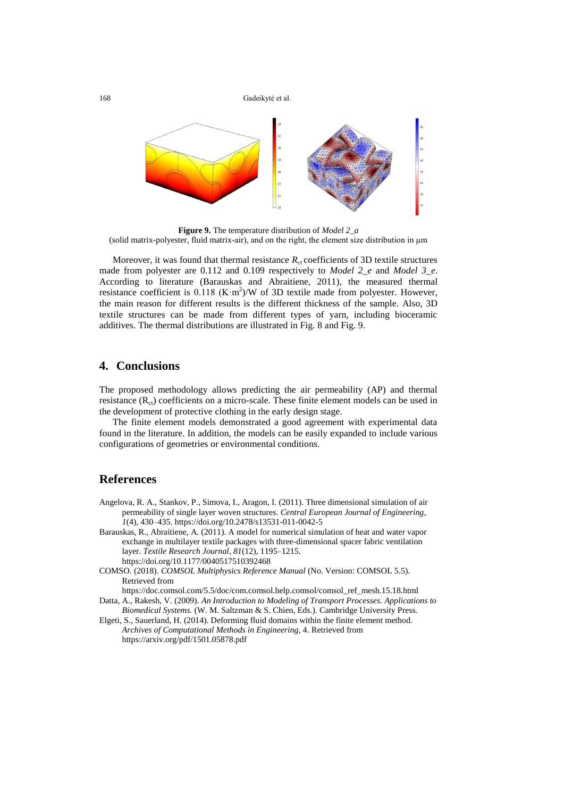

**Figure 9.** The temperature distribution of *Model 2\_a* (solid matrix-polyester, fluid matrix-air), and on the right, the element size distribution in µm

Moreover, it was found that thermal resistance  $R<sub>ct</sub>$  coefficients of 3D textile structures made from polyester are 0.112 and 0.109 respectively to *Model 2\_e* and *Model 3\_e*. According to literature (Barauskas and Abraitiene, 2011), the measured thermal resistance coefficient is  $0.118$  (K $\cdot$ m<sup>2</sup>)/W of 3D textile made from polyester. However, the main reason for different results is the different thickness of the sample. Also, 3D textile structures can be made from different types of yarn, including bioceramic additives. The thermal distributions are illustrated in Fig. 8 and Fig. 9.

## **4. Conclusions**

The proposed methodology allows predicting the air permeability (AP) and thermal resistance  $(R_{ct})$  coefficients on a micro-scale. These finite element models can be used in the development of protective clothing in the early design stage.

The finite element models demonstrated a good agreement with experimental data found in the literature. In addition, the models can be easily expanded to include various configurations of geometries or environmental conditions.

## **References**

- Angelova, R. A., Stankov, P., Simova, I., Aragon, I. (2011). Three dimensional simulation of air permeability of single layer woven structures. *Central European Journal of Engineering*, *1*(4), 430–435. https://doi.org/10.2478/s13531-011-0042-5
- Barauskas, R., Abraitiene, A. (2011). A model for numerical simulation of heat and water vapor exchange in multilayer textile packages with three-dimensional spacer fabric ventilation layer. *Textile Research Journal*, *81*(12), 1195–1215. https://doi.org/10.1177/0040517510392468
- COMSO. (2018). *COMSOL Multiphysics Reference Manual* (No. Version: COMSOL 5.5). Retrieved from
- https://doc.comsol.com/5.5/doc/com.comsol.help.comsol/comsol\_ref\_mesh.15.18.html Datta, A., Rakesh, V. (2009). *An Introduction to Modeling of Transport Processes. Applications to*
- *Biomedical Systems.* (W. M. Saltzman & S. Chien, Eds.). Cambridge University Press. Elgeti, S., Sauerland, H. (2014). Deforming fluid domains within the finite element method. *Archives of Computational Methods in Engineering*, 4. Retrieved from

https://arxiv.org/pdf/1501.05878.pdf